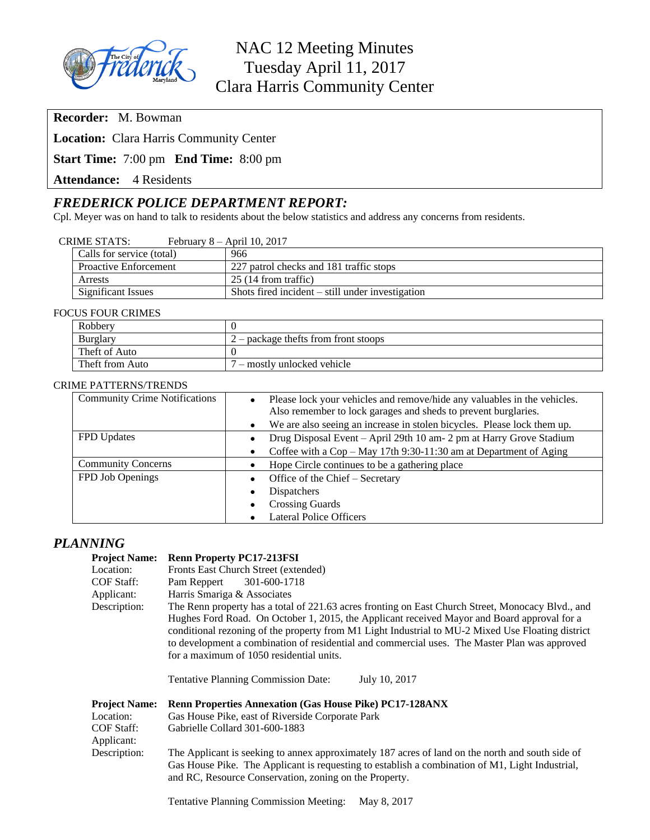

**Recorder:** M. Bowman

**Location:** Clara Harris Community Center

**Start Time:** 7:00 pm **End Time:** 8:00 pm

**Attendance:** 4 Residents

# *FREDERICK POLICE DEPARTMENT REPORT:*

Cpl. Meyer was on hand to talk to residents about the below statistics and address any concerns from residents.

| Calls for service (total)    | 966                                                |
|------------------------------|----------------------------------------------------|
| <b>Proactive Enforcement</b> | 227 patrol checks and 181 traffic stops            |
| Arrests                      | 25(14 from traffic)                                |
| Significant Issues           | Shots fired incident $-$ still under investigation |

#### FOCUS FOUR CRIMES

| Robbery         | $2$ – package thefts from front stoops |  |  |  |
|-----------------|----------------------------------------|--|--|--|
| Burglary        |                                        |  |  |  |
| Theft of Auto   |                                        |  |  |  |
| Theft from Auto | <sup>7</sup> – mostly unlocked vehicle |  |  |  |

#### CRIME PATTERNS/TRENDS

| <b>Community Crime Notifications</b> | $\bullet$ | Please lock your vehicles and remove/hide any valuables in the vehicles.<br>Also remember to lock garages and sheds to prevent burglaries. |
|--------------------------------------|-----------|--------------------------------------------------------------------------------------------------------------------------------------------|
|                                      | $\bullet$ | We are also seeing an increase in stolen bicycles. Please lock them up.                                                                    |
| <b>FPD</b> Updates                   |           | Drug Disposal Event - April 29th 10 am- 2 pm at Harry Grove Stadium                                                                        |
|                                      |           | Coffee with a Cop – May 17th 9:30-11:30 am at Department of Aging                                                                          |
| <b>Community Concerns</b>            |           | Hope Circle continues to be a gathering place                                                                                              |
| FPD Job Openings                     |           | Office of the Chief - Secretary                                                                                                            |
|                                      | $\bullet$ | <b>Dispatchers</b>                                                                                                                         |
|                                      |           | <b>Crossing Guards</b>                                                                                                                     |
|                                      |           | <b>Lateral Police Officers</b>                                                                                                             |

### *PLANNING*

#### **Project Name: Renn Property PC17-213FSI**

| 110100011011100                                                                      | $x$ and $x$ is $y$ and $y$ is $y$ and $y$ is $y$ is a set of $y$                                                                                                                                                                                                                                                                                                                                                                                                                                                  |  |  |  |  |
|--------------------------------------------------------------------------------------|-------------------------------------------------------------------------------------------------------------------------------------------------------------------------------------------------------------------------------------------------------------------------------------------------------------------------------------------------------------------------------------------------------------------------------------------------------------------------------------------------------------------|--|--|--|--|
| Location:                                                                            | Fronts East Church Street (extended)                                                                                                                                                                                                                                                                                                                                                                                                                                                                              |  |  |  |  |
| <b>COF Staff:</b>                                                                    | 301-600-1718<br>Pam Reppert                                                                                                                                                                                                                                                                                                                                                                                                                                                                                       |  |  |  |  |
| Applicant:                                                                           | Harris Smariga & Associates                                                                                                                                                                                                                                                                                                                                                                                                                                                                                       |  |  |  |  |
| Description:                                                                         | The Renn property has a total of 221.63 acres fronting on East Church Street, Monocacy Blvd., and<br>Hughes Ford Road. On October 1, 2015, the Applicant received Mayor and Board approval for a<br>conditional rezoning of the property from M1 Light Industrial to MU-2 Mixed Use Floating district<br>to development a combination of residential and commercial uses. The Master Plan was approved<br>for a maximum of 1050 residential units.<br><b>Tentative Planning Commission Date:</b><br>July 10, 2017 |  |  |  |  |
| <b>Project Name:</b><br>Location:<br><b>COF Staff:</b><br>Applicant:<br>Description: | <b>Renn Properties Annexation (Gas House Pike) PC17-128ANX</b><br>Gas House Pike, east of Riverside Corporate Park<br>Gabrielle Collard 301-600-1883<br>The Applicant is seeking to annex approximately 187 acres of land on the north and south side of<br>Gas House Pike. The Applicant is requesting to establish a combination of M1, Light Industrial,<br>and RC, Resource Conservation, zoning on the Property.                                                                                             |  |  |  |  |